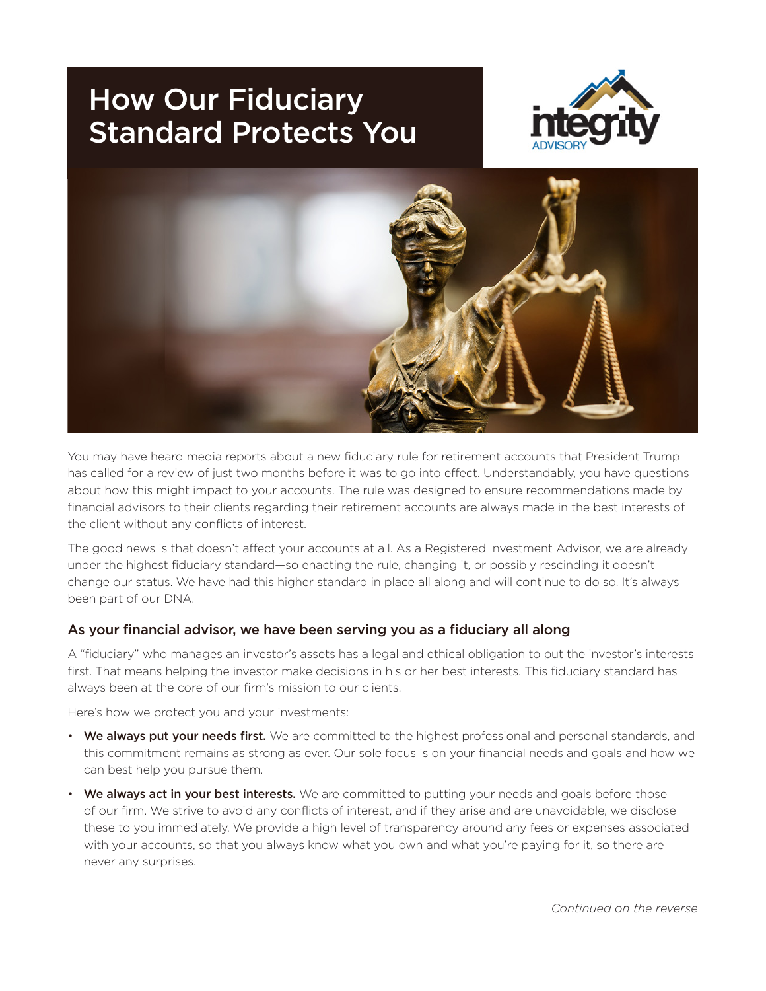# How Our Fiduciary Standard Protects You





You may have heard media reports about a new fiduciary rule for retirement accounts that President Trump has called for a review of just two months before it was to go into effect. Understandably, you have questions about how this might impact to your accounts. The rule was designed to ensure recommendations made by financial advisors to their clients regarding their retirement accounts are always made in the best interests of the client without any conflicts of interest.

The good news is that doesn't affect your accounts at all. As a Registered Investment Advisor, we are already under the highest fiduciary standard—so enacting the rule, changing it, or possibly rescinding it doesn't change our status. We have had this higher standard in place all along and will continue to do so. It's always been part of our DNA.

#### As your financial advisor, we have been serving you as a fiduciary all along

A "fiduciary" who manages an investor's assets has a legal and ethical obligation to put the investor's interests first. That means helping the investor make decisions in his or her best interests. This fiduciary standard has always been at the core of our firm's mission to our clients.

Here's how we protect you and your investments:

- We always put your needs first. We are committed to the highest professional and personal standards, and this commitment remains as strong as ever. Our sole focus is on your financial needs and goals and how we can best help you pursue them.
- We always act in your best interests. We are committed to putting your needs and goals before those of our firm. We strive to avoid any conflicts of interest, and if they arise and are unavoidable, we disclose these to you immediately. We provide a high level of transparency around any fees or expenses associated with your accounts, so that you always know what you own and what you're paying for it, so there are never any surprises.